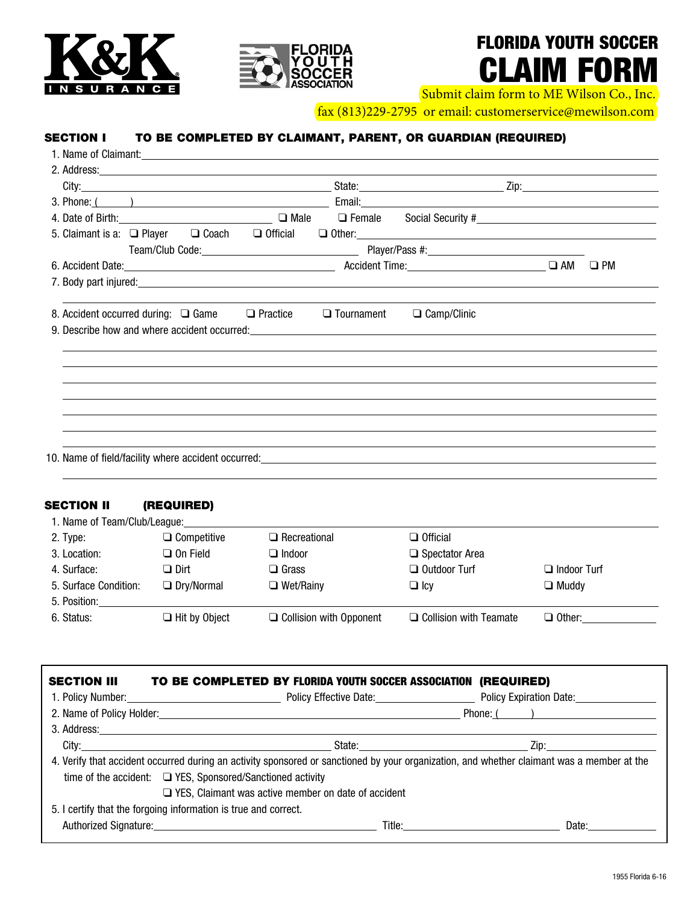



# FLORIDA YOUTH SOCCER CLAIM FORM

Submit claim form to ME Wilson Co., Inc.

fax (813)229-2795 or email: customerservice@mewilson.com

## SECTION I TO BE COMPLETED BY CLAIMANT, PARENT, OR GUARDIAN (REQUIRED)

| 3. Phone: ( ) Contract Contract Contract Contract Contract Contract Contract Contract Contract Contract Contract Contract Contract Contract Contract Contract Contract Contract Contract Contract Contract Contract Contract C |                                                                                                                                                                                                                                                                                                                                                                                                                                                                                                                                                                                                                 |
|--------------------------------------------------------------------------------------------------------------------------------------------------------------------------------------------------------------------------------|-----------------------------------------------------------------------------------------------------------------------------------------------------------------------------------------------------------------------------------------------------------------------------------------------------------------------------------------------------------------------------------------------------------------------------------------------------------------------------------------------------------------------------------------------------------------------------------------------------------------|
|                                                                                                                                                                                                                                | □ Female Social Security #<br>□ Female Social Security #<br><u>□ Female</u>                                                                                                                                                                                                                                                                                                                                                                                                                                                                                                                                     |
|                                                                                                                                                                                                                                | $\Box$ Other: $\Box$                                                                                                                                                                                                                                                                                                                                                                                                                                                                                                                                                                                            |
|                                                                                                                                                                                                                                |                                                                                                                                                                                                                                                                                                                                                                                                                                                                                                                                                                                                                 |
|                                                                                                                                                                                                                                | $\Box$ PM                                                                                                                                                                                                                                                                                                                                                                                                                                                                                                                                                                                                       |
|                                                                                                                                                                                                                                |                                                                                                                                                                                                                                                                                                                                                                                                                                                                                                                                                                                                                 |
|                                                                                                                                                                                                                                |                                                                                                                                                                                                                                                                                                                                                                                                                                                                                                                                                                                                                 |
|                                                                                                                                                                                                                                |                                                                                                                                                                                                                                                                                                                                                                                                                                                                                                                                                                                                                 |
|                                                                                                                                                                                                                                |                                                                                                                                                                                                                                                                                                                                                                                                                                                                                                                                                                                                                 |
|                                                                                                                                                                                                                                |                                                                                                                                                                                                                                                                                                                                                                                                                                                                                                                                                                                                                 |
|                                                                                                                                                                                                                                |                                                                                                                                                                                                                                                                                                                                                                                                                                                                                                                                                                                                                 |
|                                                                                                                                                                                                                                |                                                                                                                                                                                                                                                                                                                                                                                                                                                                                                                                                                                                                 |
|                                                                                                                                                                                                                                |                                                                                                                                                                                                                                                                                                                                                                                                                                                                                                                                                                                                                 |
|                                                                                                                                                                                                                                |                                                                                                                                                                                                                                                                                                                                                                                                                                                                                                                                                                                                                 |
|                                                                                                                                                                                                                                |                                                                                                                                                                                                                                                                                                                                                                                                                                                                                                                                                                                                                 |
|                                                                                                                                                                                                                                | 4. Date of Birth: 2000 COMPUTER 2000 COMPUTER 2000 COMPUTER 2000 COMPUTER 2000 COMPUTER 2000 COMPUTER 2000 COMPUTER<br>5. Claimant is a: $\Box$ Player $\Box$ Coach $\Box$ Official<br>7. Body part injured: experience of the state of the state of the state of the state of the state of the state of the state of the state of the state of the state of the state of the state of the state of the state of the<br>8. Accident occurred during: $\Box$ Game $\Box$ Practice<br>$\Box$ Camp/Clinic<br>$\Box$ Tournament<br>10. Name of field/facility where accident occurred:_____________________________ |

## SECTION II (REQUIRED)

| 1. Name of Team/Club/League: |                      |                                |                               |                    |
|------------------------------|----------------------|--------------------------------|-------------------------------|--------------------|
| 2. Type:                     | $\Box$ Competitive   | $\Box$ Recreational            | $\Box$ Official               |                    |
| 3. Location:                 | $\Box$ On Field      | $\Box$ Indoor                  | $\Box$ Spectator Area         |                    |
| 4. Surface:                  | $\Box$ Dirt          | $\square$ Grass                | $\Box$ Outdoor Turf           | $\Box$ Indoor Turf |
| 5. Surface Condition:        | $\Box$ Dry/Normal    | $\Box$ Wet/Rainy               | $\square$ Icv                 | $\Box$ Muddy       |
| 5. Position:                 |                      |                                |                               |                    |
| 6. Status:                   | $\Box$ Hit by Object | $\Box$ Collision with Opponent | $\Box$ Collision with Teamate | $\Box$ Other:      |
|                              |                      |                                |                               |                    |

| <b>SECTION III</b>                                                                                                                         | TO BE COMPLETED BY FLORIDA YOUTH SOCCER ASSOCIATION (REQUIRED)  |                                                                                                                                                                                                                                         |  |  |
|--------------------------------------------------------------------------------------------------------------------------------------------|-----------------------------------------------------------------|-----------------------------------------------------------------------------------------------------------------------------------------------------------------------------------------------------------------------------------------|--|--|
|                                                                                                                                            |                                                                 | 1. Policy Number: Campbell Communication Date: Campbell Policy Experiment Policy Expiration Date:                                                                                                                                       |  |  |
|                                                                                                                                            |                                                                 | Phone: ( )<br>2. Name of Policy Holder: 1990 and 200 million and 200 million and 200 million and 200 million and 200 million                                                                                                            |  |  |
|                                                                                                                                            |                                                                 |                                                                                                                                                                                                                                         |  |  |
|                                                                                                                                            |                                                                 |                                                                                                                                                                                                                                         |  |  |
| 4. Verify that accident occurred during an activity sponsored or sanctioned by your organization, and whether claimant was a member at the |                                                                 |                                                                                                                                                                                                                                         |  |  |
|                                                                                                                                            | time of the accident: $\Box$ YES, Sponsored/Sanctioned activity |                                                                                                                                                                                                                                         |  |  |
| $\Box$ YES, Claimant was active member on date of accident                                                                                 |                                                                 |                                                                                                                                                                                                                                         |  |  |
|                                                                                                                                            | 5. I certify that the forgoing information is true and correct. |                                                                                                                                                                                                                                         |  |  |
|                                                                                                                                            |                                                                 | Date:<br>Title: The contract of the contract of the contract of the contract of the contract of the contract of the contract of the contract of the contract of the contract of the contract of the contract of the contract of the con |  |  |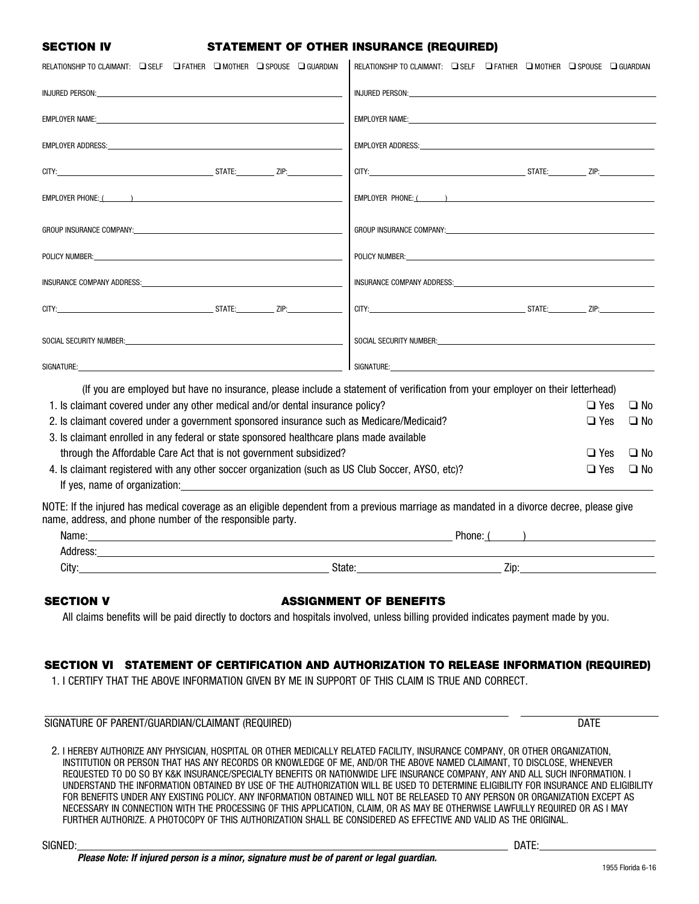## SECTION IV STATEMENT OF OTHER INSURANCE (REQUIRED)

| RELATIONSHIP TO CLAIMANT: Q SELF Q FATHER Q MOTHER Q SPOUSE Q GUARDIAN                                                                                                                                                        | RELATIONSHIP TO CLAIMANT: C SELF C FATHER C MOTHER C SPOUSE C GUARDIAN                                                                                                                                                         |  |  |
|-------------------------------------------------------------------------------------------------------------------------------------------------------------------------------------------------------------------------------|--------------------------------------------------------------------------------------------------------------------------------------------------------------------------------------------------------------------------------|--|--|
|                                                                                                                                                                                                                               |                                                                                                                                                                                                                                |  |  |
| EMPLOYER NAME: A CONTROL CONTROL CONTROL CONTROL CONTROL CONTROL CONTROL CONTROL CONTROL CONTROL CONTROL CONTR                                                                                                                | EMPLOYER NAME: The contract of the contract of the contract of the contract of the contract of the contract of                                                                                                                 |  |  |
|                                                                                                                                                                                                                               |                                                                                                                                                                                                                                |  |  |
|                                                                                                                                                                                                                               |                                                                                                                                                                                                                                |  |  |
| EMPLOYER PHONE: ( )                                                                                                                                                                                                           | EMPLOYER PHONE: ( )                                                                                                                                                                                                            |  |  |
|                                                                                                                                                                                                                               |                                                                                                                                                                                                                                |  |  |
| POLICY NUMBER: New York State And the Communication of the Communication of the Communication of the Communication                                                                                                            | POLICY NUMBER: And the state of the state of the state of the state of the state of the state of the state of the state of the state of the state of the state of the state of the state of the state of the state of the stat |  |  |
| insurance company address: when the control of the control of the control of the control of the control of the                                                                                                                |                                                                                                                                                                                                                                |  |  |
|                                                                                                                                                                                                                               |                                                                                                                                                                                                                                |  |  |
|                                                                                                                                                                                                                               |                                                                                                                                                                                                                                |  |  |
| SIGNATURE:<br><u> 1989 - Johann Barn, fransk politik (d. 1989)</u>                                                                                                                                                            | SIGNATURE:                                                                                                                                                                                                                     |  |  |
|                                                                                                                                                                                                                               | (If you are employed but have no insurance, please include a statement of verification from your employer on their letterhead)                                                                                                 |  |  |
| 1. Is claimant covered under any other medical and/or dental insurance policy?                                                                                                                                                |                                                                                                                                                                                                                                |  |  |
| 2. Is claimant covered under a government sponsored insurance such as Medicare/Medicaid?<br>$\Box$ Yes                                                                                                                        |                                                                                                                                                                                                                                |  |  |
| 3. Is claimant enrolled in any federal or state sponsored healthcare plans made available                                                                                                                                     |                                                                                                                                                                                                                                |  |  |
| through the Affordable Care Act that is not government subsidized?                                                                                                                                                            |                                                                                                                                                                                                                                |  |  |
| 4. Is claimant registered with any other soccer organization (such as US Club Soccer, AYSO, etc)?<br>If yes, name of organization: example and a series of organization:                                                      |                                                                                                                                                                                                                                |  |  |
| NOTE: If the injured has medical coverage as an eligible dependent from a previous marriage as mandated in a divorce decree, please give<br>name, address, and phone number of the responsible party.                         |                                                                                                                                                                                                                                |  |  |
| Name: Name: Name: Name: Name: Name: Name: Name: Name: Name: Name: Name: Name: Name: Name: Name: Name: Name: Name: Name: Name: Name: Name: Name: Name: Name: Name: Name: Name: Name: Name: Name: Name: Name: Name: Name: Name: | $Phone: ($ and $)$                                                                                                                                                                                                             |  |  |
|                                                                                                                                                                                                                               |                                                                                                                                                                                                                                |  |  |
| City:<br>State:                                                                                                                                                                                                               | Zip:                                                                                                                                                                                                                           |  |  |
| <b>SECTION V</b><br>All claims benefits will be paid directly to doctors and hospitals involved, unless billing provided indicates payment made by you.                                                                       | <b>ASSIGNMENT OF BENEFITS</b>                                                                                                                                                                                                  |  |  |
|                                                                                                                                                                                                                               |                                                                                                                                                                                                                                |  |  |

## SECTION VI STATEMENT OF CERTIFICATION AND AUTHORIZATION TO RELEASE INFORMATION (REQUIRED)

1. I CERTIFY THAT THE ABOVE INFORMATION GIVEN BY ME IN SUPPORT OF THIS CLAIM IS TRUE AND CORRECT.

SIGNATURE OF PARENT/GUARDIAN/CLAIMANT (REQUIRED) DATE

2. I HEREBY AUTHORIZE ANY PHYSICIAN, HOSPITAL OR OTHER MEDICALLY RELATED FACILITY, INSURANCE COMPANY, OR OTHER ORGANIZATION, INSTITUTION OR PERSON THAT HAS ANY RECORDS OR KNOWLEDGE OF ME, AND/OR THE ABOVE NAMED CLAIMANT, TO DISCLOSE, WHENEVER REQUESTED TO DO SO BY K&K INSURANCE/SPECIALTY BENEFITS OR NATIONWIDE LIFE INSURANCE COMPANY, ANY AND ALL SUCH INFORMATION. I UNDERSTAND THE INFORMATION OBTAINED BY USE OF THE AUTHORIZATION WILL BE USED TO DETERMINE ELIGIBILITY FOR INSURANCE AND ELIGIBILITY FOR BENEFITS UNDER ANY EXISTING POLICY. ANY INFORMATION OBTAINED WILL NOT BE RELEASED TO ANY PERSON OR ORGANIZATION EXCEPT AS NECESSARY IN CONNECTION WITH THE PROCESSING OF THIS APPLICATION, CLAIM, OR AS MAY BE OTHERWISE LAWFULLY REQUIRED OR AS I MAY FURTHER AUTHORIZE. A PHOTOCOPY OF THIS AUTHORIZATION SHALL BE CONSIDERED AS EFFECTIVE AND VALID AS THE ORIGINAL.

 $\overline{a}$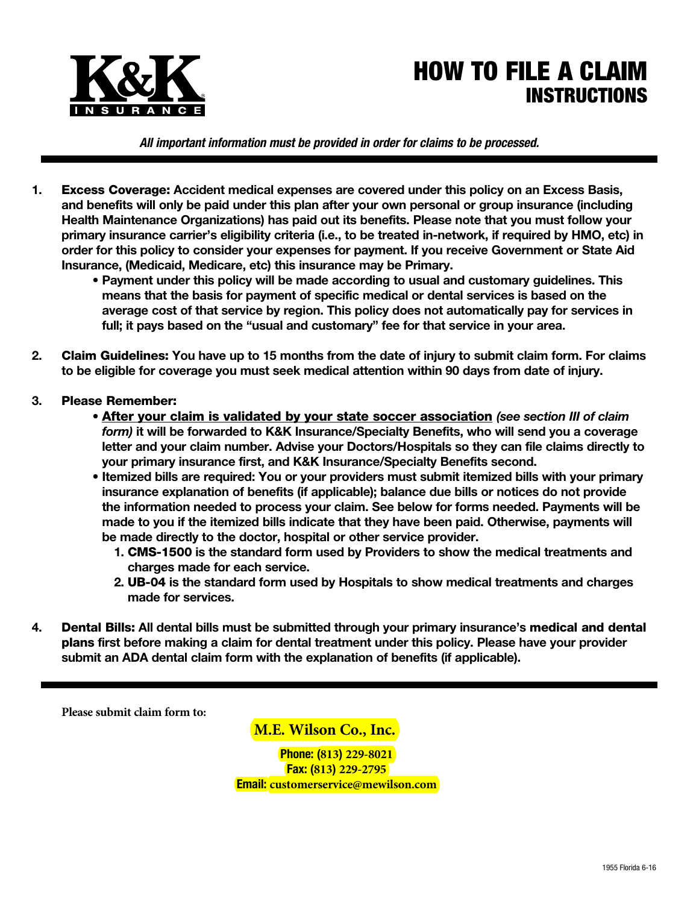

## HOW TO FILE A CLAIM INSTRUCTIONS

*All important information must be provided in order for claims to be processed.*

- **1.** Excess Coverage: **Accident medical expenses are covered under this policy on an Excess Basis, and benefits will only be paid under this plan after your own personal or group insurance (including Health Maintenance Organizations) has paid out its benefits. Please note that you must follow your primary insurance carrier's eligibility criteria (i.e., to be treated in-network, if required by HMO, etc) in order for this policy to consider your expenses for payment. If you receive Government or State Aid Insurance, (Medicaid, Medicare, etc) this insurance may be Primary.**
	- **• Payment under this policy will be made according to usual and customary guidelines. This means that the basis for payment of specific medical or dental services is based on the average cost of that service by region. This policy does not automatically pay for services in full; it pays based on the "usual and customary" fee for that service in your area.**
- **2.** Claim Guidelines: **You have up to 15 months from the date of injury to submit claim form. For claims to be eligible for coverage you must seek medical attention within 90 days from date of injury.**
- **3.** Please Remember:
	- **•** After your claim is validated by your state soccer association *(see section III of claim form)* **it will be forwarded to K&K Insurance/Specialty Benefits, who will send you a coverage letter and your claim number. Advise your Doctors/Hospitals so they can file claims directly to your primary insurance first, and K&K Insurance/Specialty Benefits second.**
	- **• Itemized bills are required: You or your providers must submit itemized bills with your primary insurance explanation of benefits (if applicable); balance due bills or notices do not provide the information needed to process your claim. See below for forms needed. Payments will be made to you if the itemized bills indicate that they have been paid. Otherwise, payments will be made directly to the doctor, hospital or other service provider.**
		- **1.** CMS-1500 **is the standard form used by Providers to show the medical treatments and charges made for each service.**
		- **2.** UB-04 **is the standard form used by Hospitals to show medical treatments and charges made for services.**
- **4.** Dental Bills: **All dental bills must be submitted through your primary insurance's** medical and dental plans **first before making a claim for dental treatment under this policy. Please have your provider submit an ADA dental claim form with the explanation of benefits (if applicable).**

**Please submit claim form to:**

**M.E. Wilson Co., Inc.**

**Phone: (813) 229-8021 Fax: (813) 229-2795 Email: customerservice@mewilson.com**